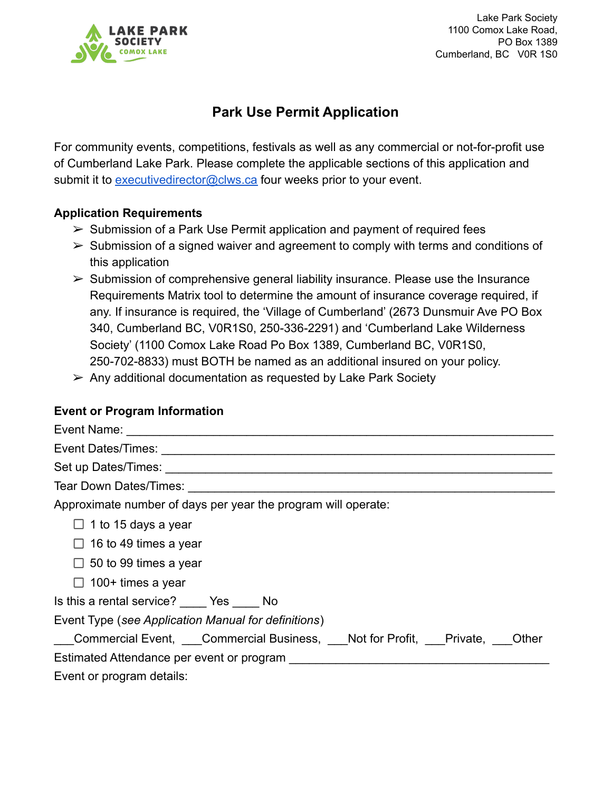

Lake Park Society 1100 Comox Lake Road, PO Box 1389 Cumberland, BC V0R 1S0

# **Park Use Permit Application**

For community events, competitions, festivals as well as any commercial or not-for-profit use of Cumberland Lake Park. Please complete the applicable sections of this application and submit it to [executivedirector@clws.ca](mailto:executivedirector@clws.ca) four weeks prior to your event.

# **Application Requirements**

- $\triangleright$  Submission of a Park Use Permit application and payment of required fees
- $\triangleright$  Submission of a signed waiver and agreement to comply with terms and conditions of this application
- $\triangleright$  Submission of comprehensive general liability insurance. Please use the Insurance Requirements Matrix tool to determine the amount of insurance coverage required, if any. If insurance is required, the 'Village of Cumberland' (2673 Dunsmuir Ave PO Box 340, Cumberland BC, V0R1S0, 250-336-2291) and 'Cumberland Lake Wilderness Society' (1100 Comox Lake Road Po Box 1389, Cumberland BC, V0R1S0, 250-702-8833) must BOTH be named as an additional insured on your policy.
- $\triangleright$  Any additional documentation as requested by Lake Park Society

# **Event or Program Information**

| Approximate number of days per year the program will operate:         |
|-----------------------------------------------------------------------|
| $\Box$ 1 to 15 days a year                                            |
| $\Box$ 16 to 49 times a year                                          |
| $\Box$ 50 to 99 times a year                                          |
| $\Box$ 100+ times a year                                              |
| Is this a rental service? Yes No                                      |
| Event Type (see Application Manual for definitions)                   |
| Commercial Event, Commercial Business, Not for Profit, Private, Other |
| Estimated Attendance per event or program                             |
| Event or program details:                                             |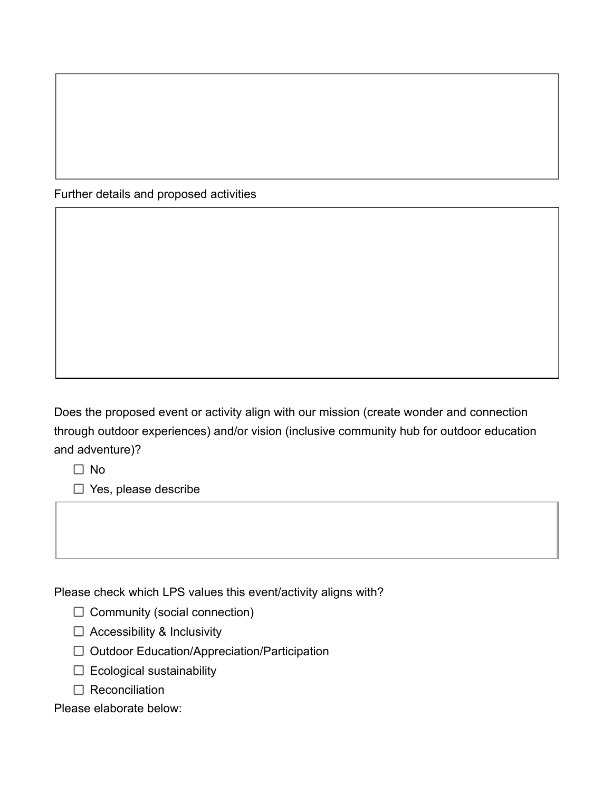Further details and proposed activities

Does the proposed event or activity align with our mission (create wonder and connection through outdoor experiences) and/or vision (inclusive community hub for outdoor education and adventure)?

 $\Box$  No

 $\Box$  Yes, please describe

Please check which LPS values this event/activity aligns with?

 $\Box$  Community (social connection)

- $\Box$  Accessibility & Inclusivity
- □ Outdoor Education/Appreciation/Participation
- $\Box$  Ecological sustainability
- $\Box$  Reconciliation

Please elaborate below: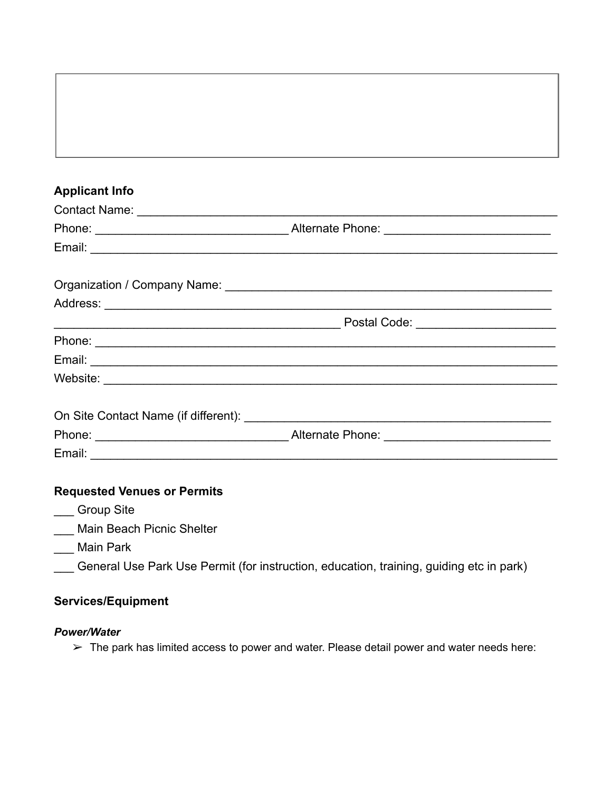# **Applicant Info** Contact Name: \_\_\_\_\_\_\_\_\_\_\_\_\_\_\_\_\_\_\_\_\_\_\_\_\_\_\_\_\_\_\_\_\_\_\_\_\_\_\_\_\_\_\_\_\_\_\_\_\_\_\_\_\_\_\_\_\_\_\_\_\_\_\_ Phone: The example of the extended  $\blacksquare$  Alternate Phone:  $\blacksquare$ Email: \_\_\_\_\_\_\_\_\_\_\_\_\_\_\_\_\_\_\_\_\_\_\_\_\_\_\_\_\_\_\_\_\_\_\_\_\_\_\_\_\_\_\_\_\_\_\_\_\_\_\_\_\_\_\_\_\_\_\_\_\_\_\_\_\_\_\_\_\_\_ Organization / Company Name: \_\_\_\_\_\_\_\_\_\_\_\_\_\_\_\_\_\_\_\_\_\_\_\_\_\_\_\_\_\_\_\_\_\_\_\_\_\_\_\_\_\_\_\_\_\_\_\_\_ Address: \_\_\_\_\_\_\_\_\_\_\_\_\_\_\_\_\_\_\_\_\_\_\_\_\_\_\_\_\_\_\_\_\_\_\_\_\_\_\_\_\_\_\_\_\_\_\_\_\_\_\_\_\_\_\_\_\_\_\_\_\_\_\_\_\_\_\_ \_\_\_\_\_\_\_\_\_\_\_\_\_\_\_\_\_\_\_\_\_\_\_\_\_\_\_\_\_\_\_\_\_\_\_\_\_\_\_\_\_\_\_ Postal Code: \_\_\_\_\_\_\_\_\_\_\_\_\_\_\_\_\_\_\_\_\_ Phone: \_\_\_\_\_\_\_\_\_\_\_\_\_\_\_\_\_\_\_\_\_\_\_\_\_\_\_\_\_\_\_\_\_\_\_\_\_\_\_\_\_\_\_\_\_\_\_\_\_\_\_\_\_\_\_\_\_\_\_\_\_\_\_\_\_\_\_\_\_ Email: \_\_\_\_\_\_\_\_\_\_\_\_\_\_\_\_\_\_\_\_\_\_\_\_\_\_\_\_\_\_\_\_\_\_\_\_\_\_\_\_\_\_\_\_\_\_\_\_\_\_\_\_\_\_\_\_\_\_\_\_\_\_\_\_\_\_\_\_\_\_ Website: \_\_\_\_\_\_\_\_\_\_\_\_\_\_\_\_\_\_\_\_\_\_\_\_\_\_\_\_\_\_\_\_\_\_\_\_\_\_\_\_\_\_\_\_\_\_\_\_\_\_\_\_\_\_\_\_\_\_\_\_\_\_\_\_\_\_\_\_ On Site Contact Name (if different): \_\_\_\_\_\_\_\_\_\_\_\_\_\_\_\_\_\_\_\_\_\_\_\_\_\_\_\_\_\_\_\_\_\_\_\_\_\_\_\_\_\_\_\_\_\_ Phone: \_\_\_\_\_\_\_\_\_\_\_\_\_\_\_\_\_\_\_\_\_\_\_\_\_\_\_\_\_ Alternate Phone: \_\_\_\_\_\_\_\_\_\_\_\_\_\_\_\_\_\_\_\_\_\_\_\_\_ Email: \_\_\_\_\_\_\_\_\_\_\_\_\_\_\_\_\_\_\_\_\_\_\_\_\_\_\_\_\_\_\_\_\_\_\_\_\_\_\_\_\_\_\_\_\_\_\_\_\_\_\_\_\_\_\_\_\_\_\_\_\_\_\_\_\_\_\_\_\_\_

# **Requested Venues or Permits**

- \_\_\_ Group Site
- Main Beach Picnic Shelter
- \_\_\_ Main Park
- General Use Park Use Permit (for instruction, education, training, guiding etc in park)

# **Services/Equipment**

#### *Power/Water*

 $\triangleright$  The park has limited access to power and water. Please detail power and water needs here: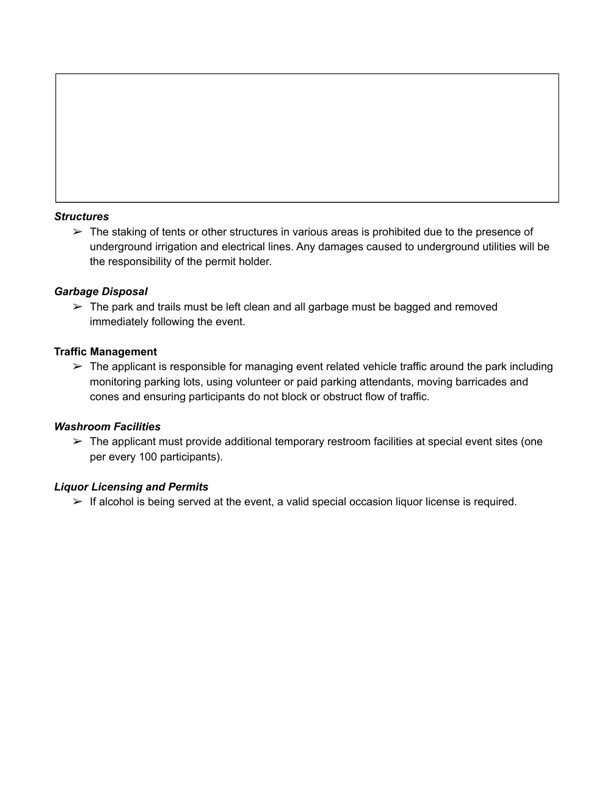#### *Structures*

 $\triangleright$  The staking of tents or other structures in various areas is prohibited due to the presence of underground irrigation and electrical lines. Any damages caused to underground utilities will be the responsibility of the permit holder.

#### *Garbage Disposal*

 $\triangleright$  The park and trails must be left clean and all garbage must be bagged and removed immediately following the event.

#### **Traffic Management**

 $\triangleright$  The applicant is responsible for managing event related vehicle traffic around the park including monitoring parking lots, using volunteer or paid parking attendants, moving barricades and cones and ensuring participants do not block or obstruct flow of traffic.

#### *Washroom Facilities*

 $\triangleright$  The applicant must provide additional temporary restroom facilities at special event sites (one per every 100 participants).

#### *Liquor Licensing and Permits*

 $\triangleright$  If alcohol is being served at the event, a valid special occasion liquor license is required.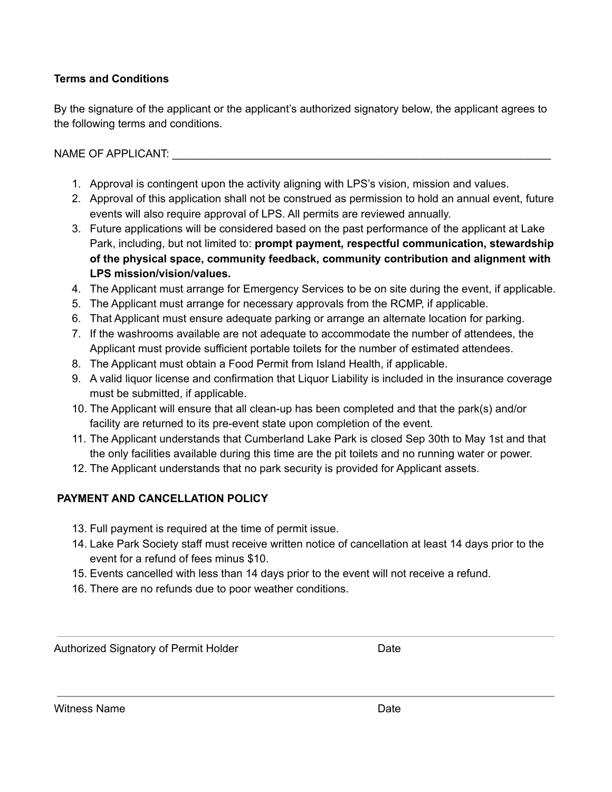# **Terms and Conditions**

By the signature of the applicant or the applicant's authorized signatory below, the applicant agrees to the following terms and conditions.

NAME OF APPLICANT: UNITED ASSETS A LIMIT OF A PPLICANT:

- 1. Approval is contingent upon the activity aligning with LPS's vision, mission and values.
- 2. Approval of this application shall not be construed as permission to hold an annual event, future events will also require approval of LPS. All permits are reviewed annually.
- 3. Future applications will be considered based on the past performance of the applicant at Lake Park, including, but not limited to: **prompt payment, respectful communication, stewardship of the physical space, community feedback, community contribution and alignment with LPS mission/vision/values.**
- 4. The Applicant must arrange for Emergency Services to be on site during the event, if applicable.
- 5. The Applicant must arrange for necessary approvals from the RCMP, if applicable.
- 6. That Applicant must ensure adequate parking or arrange an alternate location for parking.
- 7. If the washrooms available are not adequate to accommodate the number of attendees, the Applicant must provide sufficient portable toilets for the number of estimated attendees.
- 8. The Applicant must obtain a Food Permit from Island Health, if applicable.
- 9. A valid liquor license and confirmation that Liquor Liability is included in the insurance coverage must be submitted, if applicable.
- 10. The Applicant will ensure that all clean-up has been completed and that the park(s) and/or facility are returned to its pre-event state upon completion of the event.
- 11. The Applicant understands that Cumberland Lake Park is closed Sep 30th to May 1st and that the only facilities available during this time are the pit toilets and no running water or power.
- 12. The Applicant understands that no park security is provided for Applicant assets.

# **PAYMENT AND CANCELLATION POLICY**

- 13. Full payment is required at the time of permit issue.
- 14. Lake Park Society staff must receive written notice of cancellation at least 14 days prior to the event for a refund of fees minus \$10.
- 15. Events cancelled with less than 14 days prior to the event will not receive a refund.
- 16. There are no refunds due to poor weather conditions.

Authorized Signatory of Permit Holder **Date** Date

Witness Name **Date Date Date Date Date**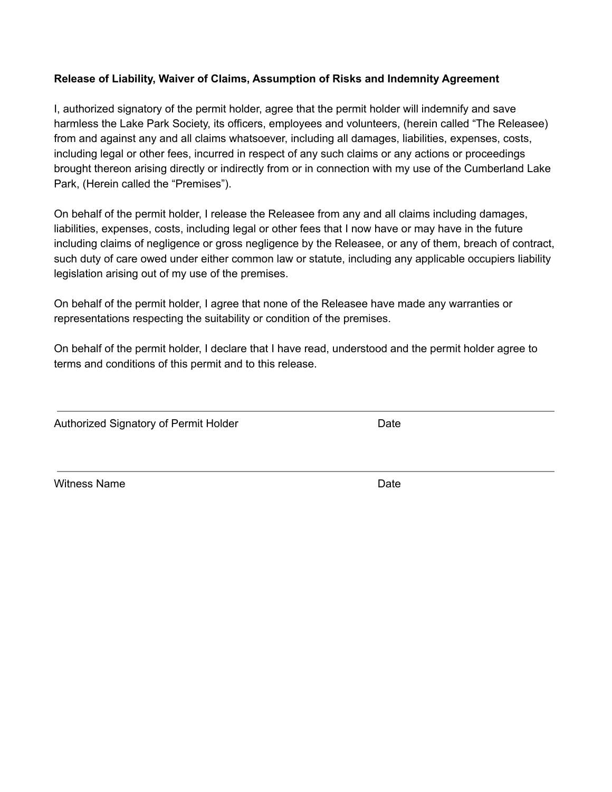#### **Release of Liability, Waiver of Claims, Assumption of Risks and Indemnity Agreement**

I, authorized signatory of the permit holder, agree that the permit holder will indemnify and save harmless the Lake Park Society, its officers, employees and volunteers, (herein called "The Releasee) from and against any and all claims whatsoever, including all damages, liabilities, expenses, costs, including legal or other fees, incurred in respect of any such claims or any actions or proceedings brought thereon arising directly or indirectly from or in connection with my use of the Cumberland Lake Park, (Herein called the "Premises").

On behalf of the permit holder, I release the Releasee from any and all claims including damages, liabilities, expenses, costs, including legal or other fees that I now have or may have in the future including claims of negligence or gross negligence by the Releasee, or any of them, breach of contract, such duty of care owed under either common law or statute, including any applicable occupiers liability legislation arising out of my use of the premises.

On behalf of the permit holder, I agree that none of the Releasee have made any warranties or representations respecting the suitability or condition of the premises.

On behalf of the permit holder, I declare that I have read, understood and the permit holder agree to terms and conditions of this permit and to this release.

Authorized Signatory of Permit Holder **Date** Date

Witness Name **Date Date Date Date Date**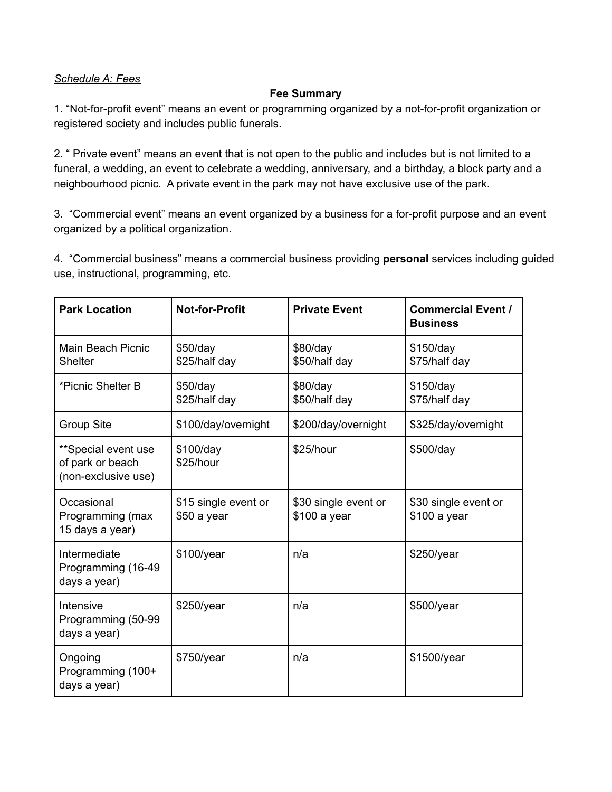### *Schedule A: Fees*

#### **Fee Summary**

1. "Not-for-profit event" means an event or programming organized by a not-for-profit organization or registered society and includes public funerals.

2. " Private event" means an event that is not open to the public and includes but is not limited to a funeral, a wedding, an event to celebrate a wedding, anniversary, and a birthday, a block party and a neighbourhood picnic. A private event in the park may not have exclusive use of the park.

3. "Commercial event" means an event organized by a business for a for-profit purpose and an event organized by a political organization.

4. "Commercial business" means a commercial business providing **personal** services including guided use, instructional, programming, etc.

| <b>Park Location</b>                                           | <b>Not-for-Profit</b>               | <b>Private Event</b>                 | <b>Commercial Event /</b><br><b>Business</b> |
|----------------------------------------------------------------|-------------------------------------|--------------------------------------|----------------------------------------------|
| Main Beach Picnic<br><b>Shelter</b>                            | $$50$ /day<br>\$25/half day         | \$80/day<br>\$50/half day            | $$150$ /day<br>\$75/half day                 |
| *Picnic Shelter B                                              | \$50/day<br>\$25/half day           | \$80/day<br>\$50/half day            | \$150/day<br>\$75/half day                   |
| <b>Group Site</b>                                              | \$100/day/overnight                 | \$200/day/overnight                  | \$325/day/overnight                          |
| **Special event use<br>of park or beach<br>(non-exclusive use) | \$100/day<br>\$25/hour              | \$25/hour                            | \$500/day                                    |
| Occasional<br>Programming (max<br>15 days a year)              | \$15 single event or<br>\$50 a year | \$30 single event or<br>\$100 a year | \$30 single event or<br>\$100 a year         |
| Intermediate<br>Programming (16-49<br>days a year)             | \$100/year                          | n/a                                  | \$250/year                                   |
| Intensive<br>Programming (50-99<br>days a year)                | \$250/year                          | n/a                                  | \$500/year                                   |
| Ongoing<br>Programming (100+<br>days a year)                   | \$750/year                          | n/a                                  | \$1500/year                                  |